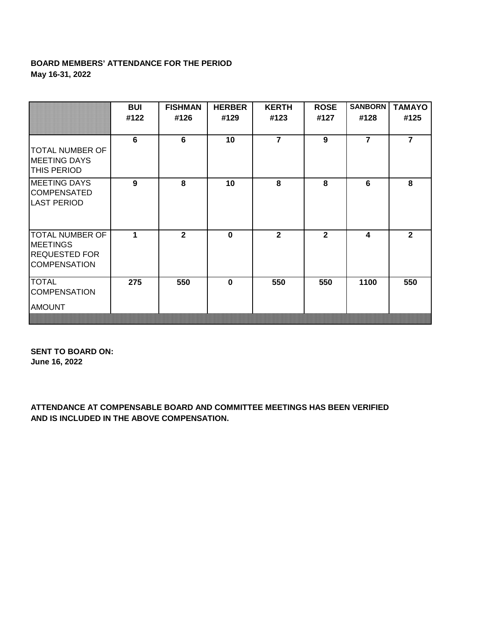## **BOARD MEMBERS' ATTENDANCE FOR THE PERIOD May 16-31, 2022**

|                                                                                          | BUI<br>#122 | <b>FISHMAN</b><br>#126 | <b>HERBER</b><br>#129 | <b>KERTH</b><br>#123 | <b>ROSE</b><br>#127 | <b>SANBORN</b><br>#128 | <b>TAMAYO</b><br>#125 |
|------------------------------------------------------------------------------------------|-------------|------------------------|-----------------------|----------------------|---------------------|------------------------|-----------------------|
| <b>TOTAL NUMBER OF</b><br><b>MEETING DAYS</b><br><b>THIS PERIOD</b>                      | 6           | 6                      | 10                    | $\overline{7}$       | 9                   | $\overline{7}$         | $\overline{7}$        |
| <b>MEETING DAYS</b><br><b>COMPENSATED</b><br><b>LAST PERIOD</b>                          | 9           | 8                      | 10                    | 8                    | 8                   | 6                      | 8                     |
| <b>TOTAL NUMBER OF</b><br><b>MEETINGS</b><br><b>REQUESTED FOR</b><br><b>COMPENSATION</b> | 1           | $\overline{2}$         | $\bf{0}$              | $\overline{2}$       | $\overline{2}$      | 4                      | $\overline{2}$        |
| <b>TOTAL</b><br><b>COMPENSATION</b><br><b>AMOUNT</b>                                     | 275         | 550                    | $\bf{0}$              | 550                  | 550                 | 1100                   | 550                   |

**SENT TO BOARD ON: June 16, 2022**

**ATTENDANCE AT COMPENSABLE BOARD AND COMMITTEE MEETINGS HAS BEEN VERIFIED AND IS INCLUDED IN THE ABOVE COMPENSATION.**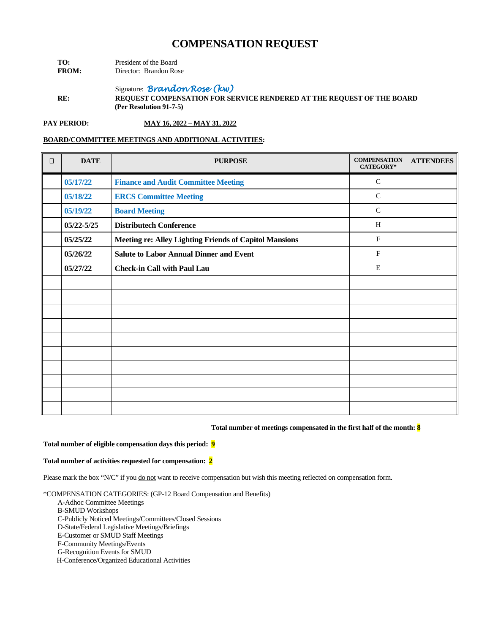| TO:          | President of the Board |                        |  |
|--------------|------------------------|------------------------|--|
| <b>FROM:</b> |                        | Director: Brandon Rose |  |

Signature: *Brandon Rose (kw)*

**RE: REQUEST COMPENSATION FOR SERVICE RENDERED AT THE REQUEST OF THE BOARD (Per Resolution 91-7-5)**

**PAY PERIOD: MAY 16, 2022 – MAY 31, 2022**

## **BOARD/COMMITTEE MEETINGS AND ADDITIONAL ACTIVITIES:**

| $\Box$ | <b>DATE</b>    | <b>PURPOSE</b>                                                | <b>COMPENSATION</b><br><b>CATEGORY*</b> | <b>ATTENDEES</b> |
|--------|----------------|---------------------------------------------------------------|-----------------------------------------|------------------|
|        | 05/17/22       | <b>Finance and Audit Committee Meeting</b>                    | $\mathsf{C}$                            |                  |
|        | 05/18/22       | <b>ERCS Committee Meeting</b>                                 | $\mathsf{C}$                            |                  |
|        | 05/19/22       | <b>Board Meeting</b>                                          | $\mathsf{C}$                            |                  |
|        | $05/22 - 5/25$ | <b>Distributech Conference</b>                                | H                                       |                  |
|        | 05/25/22       | <b>Meeting re: Alley Lighting Friends of Capitol Mansions</b> | $\mathbf{F}$                            |                  |
|        | 05/26/22       | <b>Salute to Labor Annual Dinner and Event</b>                | F                                       |                  |
|        | 05/27/22       | <b>Check-in Call with Paul Lau</b>                            | E                                       |                  |
|        |                |                                                               |                                         |                  |
|        |                |                                                               |                                         |                  |
|        |                |                                                               |                                         |                  |
|        |                |                                                               |                                         |                  |
|        |                |                                                               |                                         |                  |
|        |                |                                                               |                                         |                  |
|        |                |                                                               |                                         |                  |
|        |                |                                                               |                                         |                  |
|        |                |                                                               |                                         |                  |
|        |                |                                                               |                                         |                  |

## **Total number of meetings compensated in the first half of the month: 8**

#### **Total number of eligible compensation days this period: 9**

#### **Total number of activities requested for compensation: 2**

Please mark the box "N/C" if you do not want to receive compensation but wish this meeting reflected on compensation form.

\*COMPENSATION CATEGORIES: (GP-12 Board Compensation and Benefits)

- A-Adhoc Committee Meetings
- B-SMUD Workshops
- C-Publicly Noticed Meetings/Committees/Closed Sessions

D-State/Federal Legislative Meetings/Briefings

E-Customer or SMUD Staff Meetings

F-Community Meetings/Events

G-Recognition Events for SMUD

H-Conference/Organized Educational Activities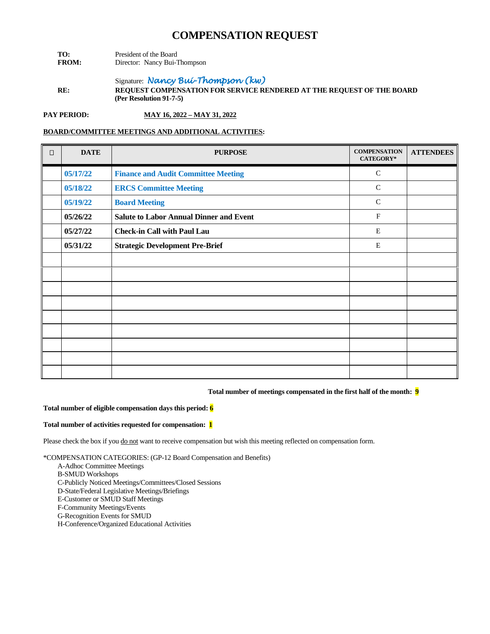- **TO:** President of the Board<br>**FROM:** Director: Nancy Bui-T **Director:** Nancy Bui-Thompson
- Signature: *Nancy Bui-Thompson (kw)* **RE: REQUEST COMPENSATION FOR SERVICE RENDERED AT THE REQUEST OF THE BOARD (Per Resolution 91-7-5)**

**PAY PERIOD: MAY 16, 2022 – MAY 31, 2022**

## **BOARD/COMMITTEE MEETINGS AND ADDITIONAL ACTIVITIES:**

| $\Box$ | <b>DATE</b> | <b>PURPOSE</b>                                 | <b>COMPENSATION</b><br>CATEGORY* | <b>ATTENDEES</b> |
|--------|-------------|------------------------------------------------|----------------------------------|------------------|
|        | 05/17/22    | <b>Finance and Audit Committee Meeting</b>     | $\mathsf{C}$                     |                  |
|        | 05/18/22    | <b>ERCS Committee Meeting</b>                  | $\mathcal{C}$                    |                  |
|        | 05/19/22    | <b>Board Meeting</b>                           | $\mathsf{C}$                     |                  |
|        | 05/26/22    | <b>Salute to Labor Annual Dinner and Event</b> | $\mathbf{F}$                     |                  |
|        | 05/27/22    | <b>Check-in Call with Paul Lau</b>             | E                                |                  |
|        | 05/31/22    | <b>Strategic Development Pre-Brief</b>         | $\mathbf E$                      |                  |
|        |             |                                                |                                  |                  |
|        |             |                                                |                                  |                  |
|        |             |                                                |                                  |                  |
|        |             |                                                |                                  |                  |
|        |             |                                                |                                  |                  |
|        |             |                                                |                                  |                  |
|        |             |                                                |                                  |                  |
|        |             |                                                |                                  |                  |
|        |             |                                                |                                  |                  |

## **Total number of meetings compensated in the first half of the month: 9**

#### **Total number of eligible compensation days this period: 6**

#### **Total number of activities requested for compensation: 1**

Please check the box if you do not want to receive compensation but wish this meeting reflected on compensation form.

- A-Adhoc Committee Meetings
- B-SMUD Workshops
- C-Publicly Noticed Meetings/Committees/Closed Sessions
- D-State/Federal Legislative Meetings/Briefings
- E-Customer or SMUD Staff Meetings
- F-Community Meetings/Events
- G-Recognition Events for SMUD
- H-Conference/Organized Educational Activities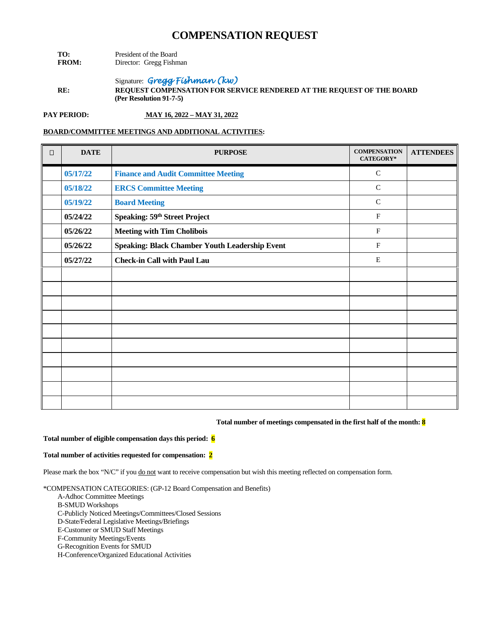- **TO:** President of the Board<br>**FROM:** Director: Gregg Fishn **Director:** Gregg Fishman
- Signature: *Gregg Fishman (kw)*  **RE: REQUEST COMPENSATION FOR SERVICE RENDERED AT THE REQUEST OF THE BOARD (Per Resolution 91-7-5)**

**PAY PERIOD: MAY 16, 2022 – MAY 31, 2022**

## **BOARD/COMMITTEE MEETINGS AND ADDITIONAL ACTIVITIES:**

| $\Box$ | <b>DATE</b> | <b>PURPOSE</b>                                 | <b>COMPENSATION</b><br><b>CATEGORY*</b> | <b>ATTENDEES</b> |
|--------|-------------|------------------------------------------------|-----------------------------------------|------------------|
|        | 05/17/22    | <b>Finance and Audit Committee Meeting</b>     | $\mathsf{C}$                            |                  |
|        | 05/18/22    | <b>ERCS Committee Meeting</b>                  | $\mathsf{C}$                            |                  |
|        | 05/19/22    | <b>Board Meeting</b>                           | $\mathsf{C}$                            |                  |
|        | 05/24/22    | Speaking: 59 <sup>th</sup> Street Project      | $\mathbf{F}$                            |                  |
|        | 05/26/22    | <b>Meeting with Tim Cholibois</b>              | $\mathbf{F}$                            |                  |
|        | 05/26/22    | Speaking: Black Chamber Youth Leadership Event | $\mathbf{F}$                            |                  |
|        | 05/27/22    | <b>Check-in Call with Paul Lau</b>             | E                                       |                  |
|        |             |                                                |                                         |                  |
|        |             |                                                |                                         |                  |
|        |             |                                                |                                         |                  |
|        |             |                                                |                                         |                  |
|        |             |                                                |                                         |                  |
|        |             |                                                |                                         |                  |
|        |             |                                                |                                         |                  |
|        |             |                                                |                                         |                  |
|        |             |                                                |                                         |                  |
|        |             |                                                |                                         |                  |

#### **Total number of meetings compensated in the first half of the month: 8**

#### **Total number of eligible compensation days this period: 6**

### **Total number of activities requested for compensation: 2**

Please mark the box "N/C" if you do not want to receive compensation but wish this meeting reflected on compensation form.

- A-Adhoc Committee Meetings
- B-SMUD Workshops
- C-Publicly Noticed Meetings/Committees/Closed Sessions
- D-State/Federal Legislative Meetings/Briefings
- E-Customer or SMUD Staff Meetings
- F-Community Meetings/Events
- G-Recognition Events for SMUD
- H-Conference/Organized Educational Activities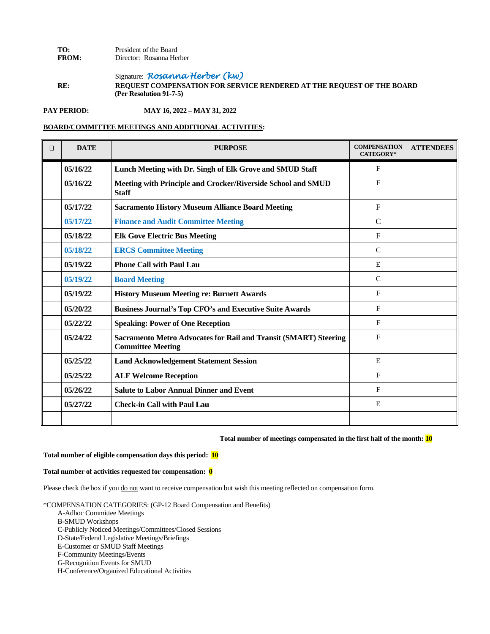## **TO:** President of the Board<br>**FROM:** Director: Rosanna He Director: Rosanna Herber

Signature: *Rosanna Herber (kw)* **RE: REQUEST COMPENSATION FOR SERVICE RENDERED AT THE REQUEST OF THE BOARD (Per Resolution 91-7-5)**

**PAY PERIOD: MAY 16, 2022 – MAY 31, 2022**

### **BOARD/COMMITTEE MEETINGS AND ADDITIONAL ACTIVITIES:**

| $\Box$ | <b>DATE</b> | <b>PURPOSE</b>                                                                                      | <b>COMPENSATION</b><br><b>CATEGORY*</b> | <b>ATTENDEES</b> |
|--------|-------------|-----------------------------------------------------------------------------------------------------|-----------------------------------------|------------------|
|        | 05/16/22    | Lunch Meeting with Dr. Singh of Elk Grove and SMUD Staff                                            | $\mathbf{F}$                            |                  |
|        | 05/16/22    | Meeting with Principle and Crocker/Riverside School and SMUD<br><b>Staff</b>                        | $\mathbf{F}$                            |                  |
|        | 05/17/22    | <b>Sacramento History Museum Alliance Board Meeting</b>                                             | $\mathbf{F}$                            |                  |
|        | 05/17/22    | <b>Finance and Audit Committee Meeting</b>                                                          | $\mathsf{C}$                            |                  |
|        | 05/18/22    | <b>Elk Gove Electric Bus Meeting</b>                                                                | $\mathbf{F}$                            |                  |
|        | 05/18/22    | <b>ERCS Committee Meeting</b>                                                                       | $\mathsf{C}$                            |                  |
|        | 05/19/22    | <b>Phone Call with Paul Lau</b>                                                                     | E                                       |                  |
|        | 05/19/22    | <b>Board Meeting</b>                                                                                | $\mathcal{C}$                           |                  |
|        | 05/19/22    | <b>History Museum Meeting re: Burnett Awards</b>                                                    | $\mathbf F$                             |                  |
|        | 05/20/22    | <b>Business Journal's Top CFO's and Executive Suite Awards</b>                                      | $\mathbf F$                             |                  |
|        | 05/22/22    | <b>Speaking: Power of One Reception</b>                                                             | $\mathbf{F}$                            |                  |
|        | 05/24/22    | <b>Sacramento Metro Advocates for Rail and Transit (SMART) Steering</b><br><b>Committee Meeting</b> | $\mathbf F$                             |                  |
|        | 05/25/22    | <b>Land Acknowledgement Statement Session</b>                                                       | E                                       |                  |
|        | 05/25/22    | <b>ALF Welcome Reception</b>                                                                        | $\mathbf F$                             |                  |
|        | 05/26/22    | <b>Salute to Labor Annual Dinner and Event</b>                                                      | $\mathbf{F}$                            |                  |
|        | 05/27/22    | <b>Check-in Call with Paul Lau</b>                                                                  | E                                       |                  |
|        |             |                                                                                                     |                                         |                  |

### **Total number of meetings compensated in the first half of the month: 10**

#### **Total number of eligible compensation days this period: 10**

## **Total number of activities requested for compensation: 0**

Please check the box if you do not want to receive compensation but wish this meeting reflected on compensation form.

- A-Adhoc Committee Meetings
- B-SMUD Workshops
- C-Publicly Noticed Meetings/Committees/Closed Sessions
- D-State/Federal Legislative Meetings/Briefings
- E-Customer or SMUD Staff Meetings
- F-Community Meetings/Events
- G-Recognition Events for SMUD
- H-Conference/Organized Educational Activities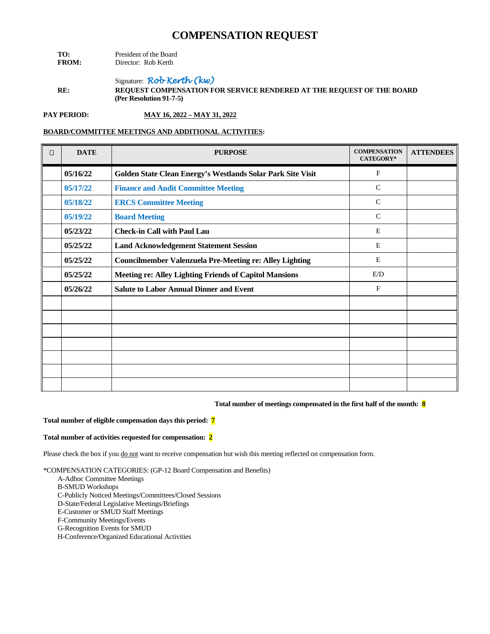| TO:          | President of the Board |  |  |
|--------------|------------------------|--|--|
| <b>FROM:</b> | Director: Rob Kerth    |  |  |

Signature: *Rob Kerth (kw)* **RE: REQUEST COMPENSATION FOR SERVICE RENDERED AT THE REQUEST OF THE BOARD (Per Resolution 91-7-5)**

**PAY PERIOD: MAY 16, 2022 – MAY 31, 2022**

## **BOARD/COMMITTEE MEETINGS AND ADDITIONAL ACTIVITIES:**

| $\Box$ | <b>DATE</b> | <b>PURPOSE</b>                                                 | <b>COMPENSATION</b><br><b>CATEGORY*</b> | <b>ATTENDEES</b> |
|--------|-------------|----------------------------------------------------------------|-----------------------------------------|------------------|
|        | 05/16/22    | Golden State Clean Energy's Westlands Solar Park Site Visit    | $\mathbf{F}$                            |                  |
|        | 05/17/22    | <b>Finance and Audit Committee Meeting</b>                     | $\mathcal{C}$                           |                  |
|        | 05/18/22    | <b>ERCS Committee Meeting</b>                                  | $\mathcal{C}$                           |                  |
|        | 05/19/22    | <b>Board Meeting</b>                                           | $\mathcal{C}$                           |                  |
|        | 05/23/22    | <b>Check-in Call with Paul Lau</b>                             | E                                       |                  |
|        | 05/25/22    | <b>Land Acknowledgement Statement Session</b>                  | E                                       |                  |
|        | 05/25/22    | <b>Councilmember Valenzuela Pre-Meeting re: Alley Lighting</b> | E                                       |                  |
|        | 05/25/22    | <b>Meeting re: Alley Lighting Friends of Capitol Mansions</b>  | E/D                                     |                  |
|        | 05/26/22    | <b>Salute to Labor Annual Dinner and Event</b>                 | $\mathbf{F}$                            |                  |
|        |             |                                                                |                                         |                  |
|        |             |                                                                |                                         |                  |
|        |             |                                                                |                                         |                  |
|        |             |                                                                |                                         |                  |
|        |             |                                                                |                                         |                  |
|        |             |                                                                |                                         |                  |
|        |             |                                                                |                                         |                  |

#### **Total number of meetings compensated in the first half of the month: 8**

#### **Total number of eligible compensation days this period: 7**

#### **Total number of activities requested for compensation: 2**

Please check the box if you do not want to receive compensation but wish this meeting reflected on compensation form.

- A-Adhoc Committee Meetings
- B-SMUD Workshops
- C-Publicly Noticed Meetings/Committees/Closed Sessions
- D-State/Federal Legislative Meetings/Briefings
- E-Customer or SMUD Staff Meetings
- F-Community Meetings/Events
- G-Recognition Events for SMUD
- H-Conference/Organized Educational Activities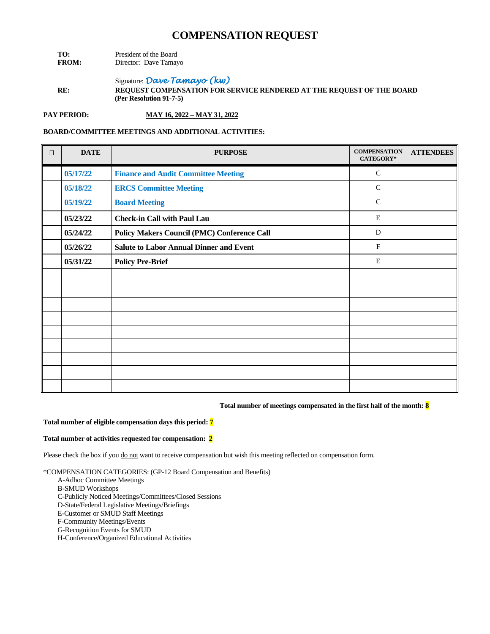| TO:          | President of the Board |  |  |
|--------------|------------------------|--|--|
| <b>FROM:</b> | Director: Dave Tamayo  |  |  |

Signature: *Dave Tamayo (kw)* **RE: REQUEST COMPENSATION FOR SERVICE RENDERED AT THE REQUEST OF THE BOARD (Per Resolution 91-7-5)**

**PAY PERIOD: MAY 16, 2022 – MAY 31, 2022**

## **BOARD/COMMITTEE MEETINGS AND ADDITIONAL ACTIVITIES:**

| $\Box$ | <b>DATE</b> | <b>PURPOSE</b>                                     | <b>COMPENSATION</b><br><b>CATEGORY*</b> | <b>ATTENDEES</b> |
|--------|-------------|----------------------------------------------------|-----------------------------------------|------------------|
|        | 05/17/22    | <b>Finance and Audit Committee Meeting</b>         | $\mathcal{C}$                           |                  |
|        | 05/18/22    | <b>ERCS Committee Meeting</b>                      | $\mathsf{C}$                            |                  |
|        | 05/19/22    | <b>Board Meeting</b>                               | $\mathcal{C}$                           |                  |
|        | 05/23/22    | <b>Check-in Call with Paul Lau</b>                 | $\mathbf E$                             |                  |
|        | 05/24/22    | <b>Policy Makers Council (PMC) Conference Call</b> | D                                       |                  |
|        | 05/26/22    | <b>Salute to Labor Annual Dinner and Event</b>     | $\mathbf{F}$                            |                  |
|        | 05/31/22    | <b>Policy Pre-Brief</b>                            | E                                       |                  |
|        |             |                                                    |                                         |                  |
|        |             |                                                    |                                         |                  |
|        |             |                                                    |                                         |                  |
|        |             |                                                    |                                         |                  |
|        |             |                                                    |                                         |                  |
|        |             |                                                    |                                         |                  |
|        |             |                                                    |                                         |                  |
|        |             |                                                    |                                         |                  |
|        |             |                                                    |                                         |                  |

#### **Total number of meetings compensated in the first half of the month: 8**

#### **Total number of eligible compensation days this period: 7**

#### **Total number of activities requested for compensation: 2**

Please check the box if you do not want to receive compensation but wish this meeting reflected on compensation form.

- A-Adhoc Committee Meetings
- B-SMUD Workshops
- C-Publicly Noticed Meetings/Committees/Closed Sessions
- D-State/Federal Legislative Meetings/Briefings
- E-Customer or SMUD Staff Meetings
- F-Community Meetings/Events
- G-Recognition Events for SMUD
- H-Conference/Organized Educational Activities